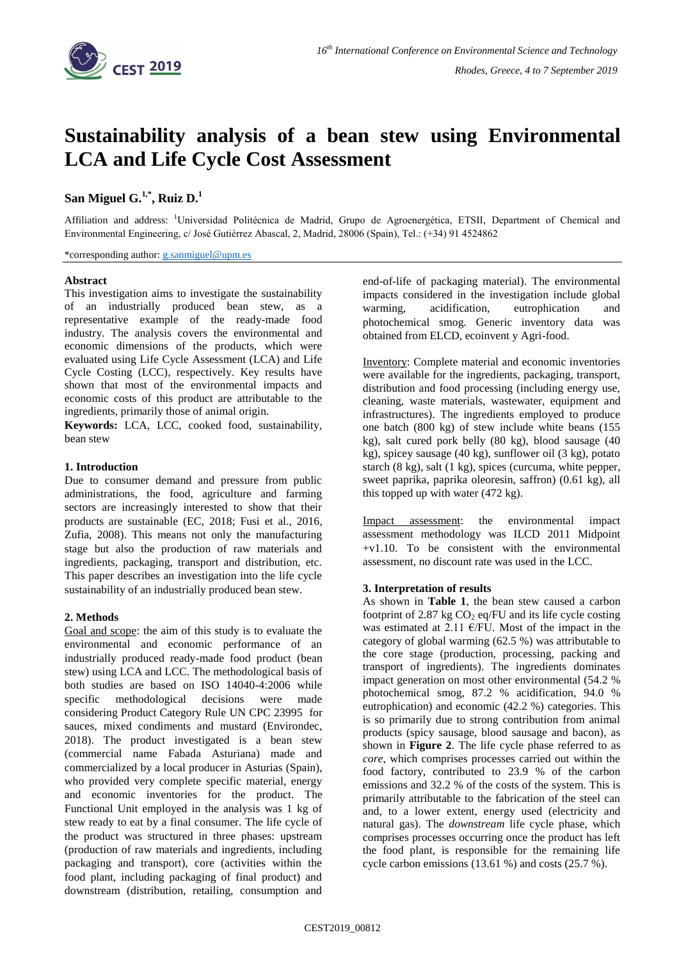

# **Sustainability analysis of a bean stew using Environmental LCA and Life Cycle Cost Assessment**

## $\mathbf{San} \text{ Miguel } \mathbf{G.}^{1,*}, \text{Ruiz } \mathbf{D.}^{1,*}$

Affiliation and address: <sup>1</sup>Universidad Politécnica de Madrid, Grupo de Agroenergética, ETSII, Department of Chemical and Environmental Engineering, c/ José Gutiérrez Abascal, 2, Madrid, 28006 (Spain), Tel.: (+34) 91 4524862

\*corresponding author: [g.sanmiguel@upm.es](mailto:g.sanmiguel@upm.es)

#### **Abstract**

This investigation aims to investigate the sustainability of an industrially produced bean stew, as a representative example of the ready-made food industry. The analysis covers the environmental and economic dimensions of the products, which were evaluated using Life Cycle Assessment (LCA) and Life Cycle Costing (LCC), respectively. Key results have shown that most of the environmental impacts and economic costs of this product are attributable to the ingredients, primarily those of animal origin.

**Keywords:** LCA, LCC, cooked food, sustainability, bean stew

#### **1. Introduction**

Due to consumer demand and pressure from public administrations, the food, agriculture and farming sectors are increasingly interested to show that their products are sustainable (EC, 2018; Fusi et al., 2016, Zufia, 2008). This means not only the manufacturing stage but also the production of raw materials and ingredients, packaging, transport and distribution, etc. This paper describes an investigation into the life cycle sustainability of an industrially produced bean stew.

#### **2. Methods**

Goal and scope: the aim of this study is to evaluate the environmental and economic performance of an industrially produced ready-made food product (bean stew) using LCA and LCC. The methodological basis of both studies are based on ISO 14040-4:2006 while specific methodological decisions were made considering Product Category Rule UN CPC 23995 for sauces, mixed condiments and mustard (Environdec, 2018). The product investigated is a bean stew (commercial name Fabada Asturiana) made and commercialized by a local producer in Asturias (Spain), who provided very complete specific material, energy and economic inventories for the product. The Functional Unit employed in the analysis was 1 kg of stew ready to eat by a final consumer. The life cycle of the product was structured in three phases: upstream (production of raw materials and ingredients, including packaging and transport), core (activities within the food plant, including packaging of final product) and downstream (distribution, retailing, consumption and

end-of-life of packaging material). The environmental impacts considered in the investigation include global warming, acidification, eutrophication and photochemical smog. Generic inventory data was obtained from ELCD, ecoinvent y Agri-food.

Inventory: Complete material and economic inventories were available for the ingredients, packaging, transport, distribution and food processing (including energy use, cleaning, waste materials, wastewater, equipment and infrastructures). The ingredients employed to produce one batch (800 kg) of stew include white beans (155 kg), salt cured pork belly (80 kg), blood sausage (40 kg), spicey sausage (40 kg), sunflower oil (3 kg), potato starch (8 kg), salt (1 kg), spices (curcuma, white pepper, sweet paprika, paprika oleoresin, saffron) (0.61 kg), all this topped up with water (472 kg).

Impact assessment: the environmental impact assessment methodology was ILCD 2011 Midpoint +v1.10. To be consistent with the environmental assessment, no discount rate was used in the LCC.

#### **3. Interpretation of results**

As shown in **[Table 1](#page-1-0)**, the bean stew caused a carbon footprint of 2.87 kg  $CO<sub>2</sub>$  eq/FU and its life cycle costing was estimated at 2.11  $E/FU$ . Most of the impact in the category of global warming (62.5 %) was attributable to the core stage (production, processing, packing and transport of ingredients). The ingredients dominates impact generation on most other environmental (54.2 % photochemical smog, 87.2 % acidification, 94.0 % eutrophication) and economic (42.2 %) categories. This is so primarily due to strong contribution from animal products (spicy sausage, blood sausage and bacon), as shown in **[Figure 2](#page-1-1)**. The life cycle phase referred to as *core*, which comprises processes carried out within the food factory, contributed to 23.9 % of the carbon emissions and 32.2 % of the costs of the system. This is primarily attributable to the fabrication of the steel can and, to a lower extent, energy used (electricity and natural gas). The *downstream* life cycle phase, which comprises processes occurring once the product has left the food plant, is responsible for the remaining life cycle carbon emissions (13.61 %) and costs (25.7 %).